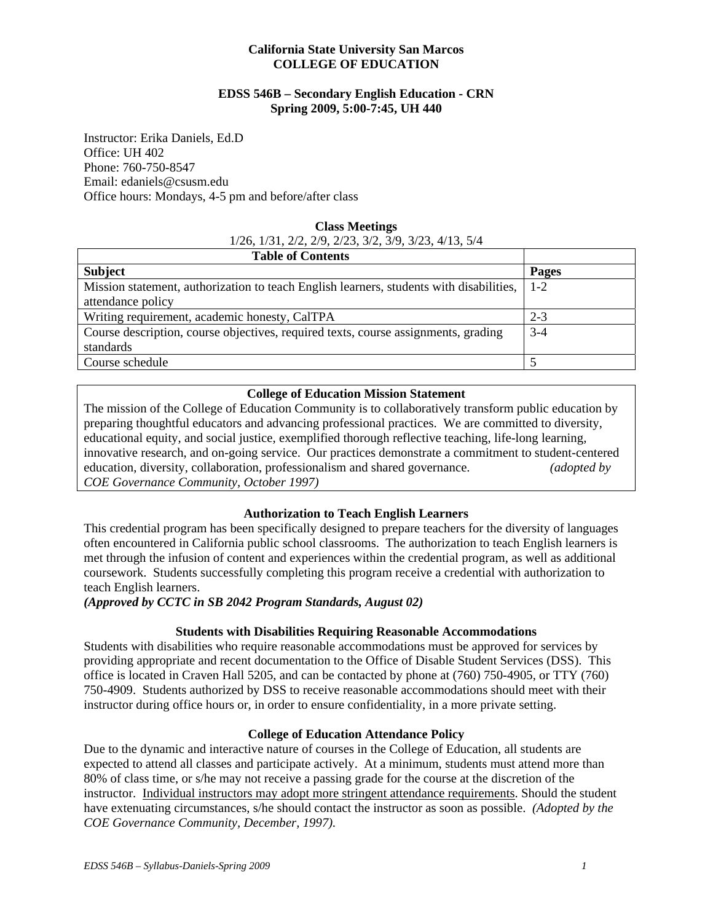# **California State University San Marcos COLLEGE OF EDUCATION**

# **EDSS 546B – Secondary English Education - CRN Spring 2009, 5:00-7:45, UH 440**

Instructor: Erika Daniels, Ed.D Office: UH 402 Phone: 760-750-8547 Email: edaniels@csusm.edu Office hours: Mondays, 4-5 pm and before/after class

#### **Class Meetings**

#### 1/26, 1/31, 2/2, 2/9, 2/23, 3/2, 3/9, 3/23, 4/13, 5/4

| <b>Table of Contents</b>                                                                |         |
|-----------------------------------------------------------------------------------------|---------|
| <b>Subject</b>                                                                          | Pages   |
| Mission statement, authorization to teach English learners, students with disabilities, | $1 - 2$ |
| attendance policy                                                                       |         |
| Writing requirement, academic honesty, CalTPA                                           | $2 - 3$ |
| Course description, course objectives, required texts, course assignments, grading      | $3 - 4$ |
| standards                                                                               |         |
| Course schedule                                                                         |         |

# **College of Education Mission Statement**

The mission of the College of Education Community is to collaboratively transform public education by preparing thoughtful educators and advancing professional practices. We are committed to diversity, educational equity, and social justice, exemplified thorough reflective teaching, life-long learning, innovative research, and on-going service. Our practices demonstrate a commitment to student-centered education, diversity, collaboration, professionalism and shared governance. *(adopted by COE Governance Community, October 1997)* 

# **Authorization to Teach English Learners**

This credential program has been specifically designed to prepare teachers for the diversity of languages often encountered in California public school classrooms. The authorization to teach English learners is met through the infusion of content and experiences within the credential program, as well as additional coursework. Students successfully completing this program receive a credential with authorization to teach English learners.

# *(Approved by CCTC in SB 2042 Program Standards, August 02)*

# **Students with Disabilities Requiring Reasonable Accommodations**

Students with disabilities who require reasonable accommodations must be approved for services by providing appropriate and recent documentation to the Office of Disable Student Services (DSS). This office is located in Craven Hall 5205, and can be contacted by phone at (760) 750-4905, or TTY (760) 750-4909. Students authorized by DSS to receive reasonable accommodations should meet with their instructor during office hours or, in order to ensure confidentiality, in a more private setting.

# **College of Education Attendance Policy**

*COE Governance Community, December, 1997).*<br>
EDSS 546B – Syllabus-Daniels-Spring 2009 1 Due to the dynamic and interactive nature of courses in the College of Education, all students are expected to attend all classes and participate actively. At a minimum, students must attend more than 80% of class time, or s/he may not receive a passing grade for the course at the discretion of the instructor. Individual instructors may adopt more stringent attendance requirements. Should the student have extenuating circumstances, s/he should contact the instructor as soon as possible. *(Adopted by the*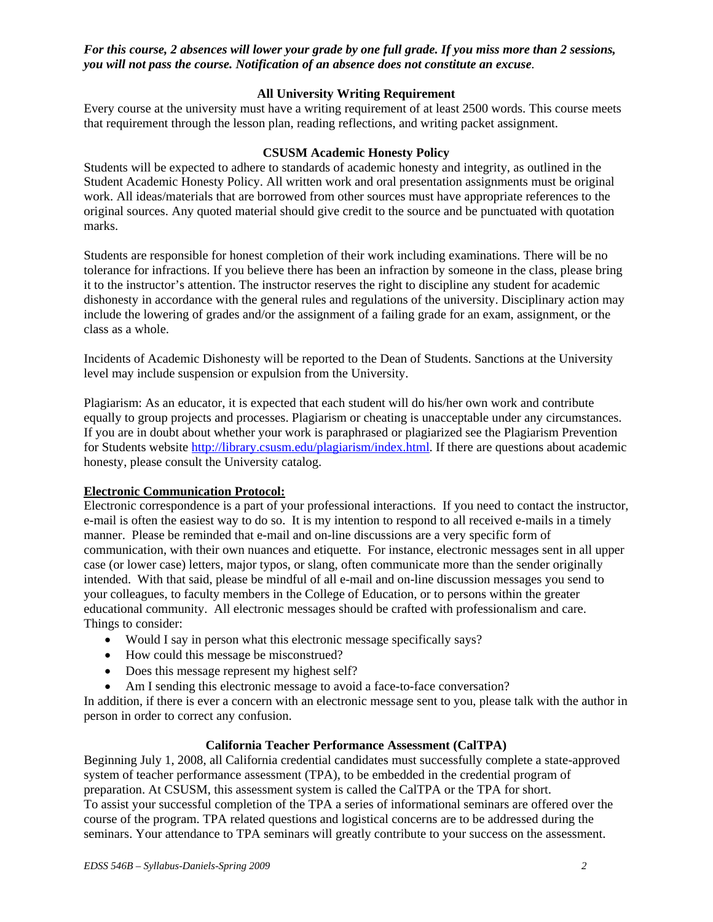*For this course, 2 absences will lower your grade by one full grade. If you miss more than 2 sessions, you will not pass the course. Notification of an absence does not constitute an excuse.* 

## **All University Writing Requirement**

Every course at the university must have a writing requirement of at least 2500 words. This course meets that requirement through the lesson plan, reading reflections, and writing packet assignment.

#### **CSUSM Academic Honesty Policy**

Students will be expected to adhere to standards of academic honesty and integrity, as outlined in the Student Academic Honesty Policy. All written work and oral presentation assignments must be original work. All ideas/materials that are borrowed from other sources must have appropriate references to the original sources. Any quoted material should give credit to the source and be punctuated with quotation marks.

 dishonesty in accordance with the general rules and regulations of the university. Disciplinary action may Students are responsible for honest completion of their work including examinations. There will be no tolerance for infractions. If you believe there has been an infraction by someone in the class, please bring it to the instructor's attention. The instructor reserves the right to discipline any student for academic include the lowering of grades and/or the assignment of a failing grade for an exam, assignment, or the class as a whole.

Incidents of Academic Dishonesty will be reported to the Dean of Students. Sanctions at the University level may include suspension or expulsion from the University.

Plagiarism: As an educator, it is expected that each student will do his/her own work and contribute equally to group projects and processes. Plagiarism or cheating is unacceptable under any circumstances. If you are in doubt about whether your work is paraphrased or plagiarized see the Plagiarism Prevention for Students website http://library.csusm.edu/plagiarism/index.html. If there are questions about academic honesty, please consult the University catalog.

#### **Electronic Communication Protocol:**

Electronic correspondence is a part of your professional interactions. If you need to contact the instructor, e-mail is often the easiest way to do so. It is my intention to respond to all received e-mails in a timely manner. Please be reminded that e-mail and on-line discussions are a very specific form of communication, with their own nuances and etiquette. For instance, electronic messages sent in all upper case (or lower case) letters, major typos, or slang, often communicate more than the sender originally intended. With that said, please be mindful of all e-mail and on-line discussion messages you send to your colleagues, to faculty members in the College of Education, or to persons within the greater educational community. All electronic messages should be crafted with professionalism and care. Things to consider:

- Would I say in person what this electronic message specifically says?
- How could this message be misconstrued?
- Does this message represent my highest self?
- Am I sending this electronic message to avoid a face-to-face conversation?

In addition, if there is ever a concern with an electronic message sent to you, please talk with the author in person in order to correct any confusion.

#### **California Teacher Performance Assessment (CalTPA)**

Beginning July 1, 2008, all California credential candidates must successfully complete a state-approved system of teacher performance assessment (TPA), to be embedded in the credential program of preparation. At CSUSM, this assessment system is called the CalTPA or the TPA for short. To assist your successful completion of the TPA a series of informational seminars are offered over the course of the program. TPA related questions and logistical concerns are to be addressed during the seminars. Your attendance to TPA seminars will greatly contribute to your success on the assessment.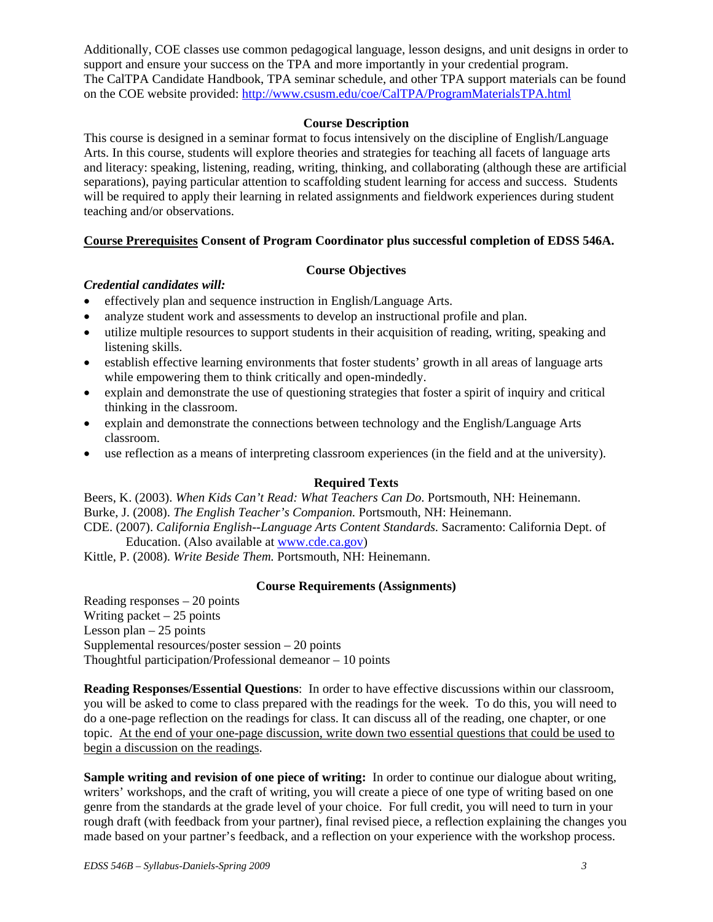on the COE website provided: http://www.csusm.edu/coe/CalTPA/ProgramMaterialsTPA.html Additionally, COE classes use common pedagogical language, lesson designs, and unit designs in order to support and ensure your success on the TPA and more importantly in your credential program. The CalTPA Candidate Handbook, TPA seminar schedule, and other TPA support materials can be found

# **Course Description**

This course is designed in a seminar format to focus intensively on the discipline of English/Language Arts. In this course, students will explore theories and strategies for teaching all facets of language arts and literacy: speaking, listening, reading, writing, thinking, and collaborating (although these are artificial separations), paying particular attention to scaffolding student learning for access and success. Students will be required to apply their learning in related assignments and fieldwork experiences during student teaching and/or observations.

# **Course Prerequisites Consent of Program Coordinator plus successful completion of EDSS 546A.**

# **Course Objectives**

# *Credential candidates will:*

- effectively plan and sequence instruction in English/Language Arts.
- analyze student work and assessments to develop an instructional profile and plan.
- utilize multiple resources to support students in their acquisition of reading, writing, speaking and listening skills.
- establish effective learning environments that foster students' growth in all areas of language arts while empowering them to think critically and open-mindedly.
- explain and demonstrate the use of questioning strategies that foster a spirit of inquiry and critical thinking in the classroom.
- classroom. • explain and demonstrate the connections between technology and the English/Language Arts
- use reflection as a means of interpreting classroom experiences (in the field and at the university).

# **Required Texts**

Beers, K. (2003). *When Kids Can't Read: What Teachers Can Do*. Portsmouth, NH: Heinemann. Burke, J. (2008). *The English Teacher's Companion.* Portsmouth, NH: Heinemann. CDE. (2007). *California English--Language Arts Content Standards.* Sacramento: California Dept. of Education. (Also available at www.cde.ca.gov)

Kittle, P. (2008). *Write Beside Them.* Portsmouth, NH: Heinemann.

# **Course Requirements (Assignments)**

Reading responses – 20 points Writing packet – 25 points Lesson plan  $-25$  points Supplemental resources/poster session – 20 points Thoughtful participation/Professional demeanor – 10 points

**Reading Responses/Essential Questions**: In order to have effective discussions within our classroom, you will be asked to come to class prepared with the readings for the week. To do this, you will need to do a one-page reflection on the readings for class. It can discuss all of the reading, one chapter, or one topic. At the end of your one-page discussion, write down two essential questions that could be used to begin a discussion on the readings.

**Sample writing and revision of one piece of writing:** In order to continue our dialogue about writing, writers' workshops, and the craft of writing, you will create a piece of one type of writing based on one genre from the standards at the grade level of your choice. For full credit, you will need to turn in your rough draft (with feedback from your partner), final revised piece, a reflection explaining the changes you made based on your partner's feedback, and a reflection on your experience with the workshop process.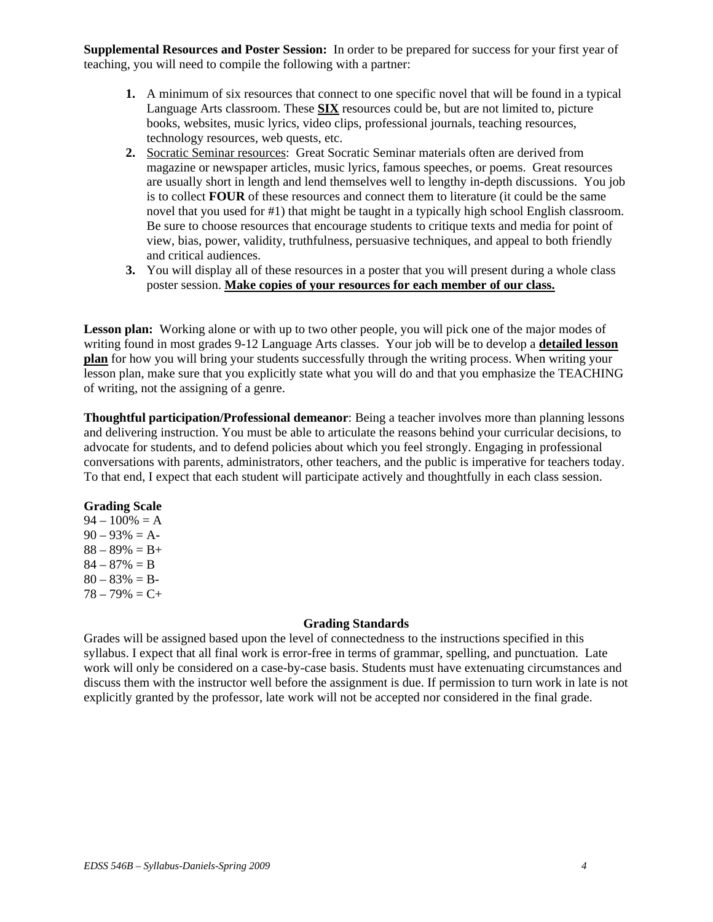**Supplemental Resources and Poster Session:** In order to be prepared for success for your first year of teaching, you will need to compile the following with a partner:

- **1.** A minimum of six resources that connect to one specific novel that will be found in a typical Language Arts classroom. These **SIX** resources could be, but are not limited to, picture books, websites, music lyrics, video clips, professional journals, teaching resources, technology resources, web quests, etc.
- **2.** Socratic Seminar resources: Great Socratic Seminar materials often are derived from magazine or newspaper articles, music lyrics, famous speeches, or poems. Great resources are usually short in length and lend themselves well to lengthy in-depth discussions. You job is to collect **FOUR** of these resources and connect them to literature (it could be the same novel that you used for #1) that might be taught in a typically high school English classroom. Be sure to choose resources that encourage students to critique texts and media for point of view, bias, power, validity, truthfulness, persuasive techniques, and appeal to both friendly and critical audiences.
- **3.** You will display all of these resources in a poster that you will present during a whole class poster session. **Make copies of your resources for each member of our class.**

**Lesson plan:** Working alone or with up to two other people, you will pick one of the major modes of writing found in most grades 9-12 Language Arts classes. Your job will be to develop a **detailed lesson plan** for how you will bring your students successfully through the writing process. When writing your lesson plan, make sure that you explicitly state what you will do and that you emphasize the TEACHING of writing, not the assigning of a genre.

**Thoughtful participation/Professional demeanor**: Being a teacher involves more than planning lessons and delivering instruction. You must be able to articulate the reasons behind your curricular decisions, to advocate for students, and to defend policies about which you feel strongly. Engaging in professional conversations with parents, administrators, other teachers, and the public is imperative for teachers today. To that end, I expect that each student will participate actively and thoughtfully in each class session.

#### **Grading Scale**

 $94 - 100\% = A$  $90 - 93\% = A$ - $88 - 89\% = B +$  $84 - 87\% = B$  $80 - 83\% = B$  $78 - 79\% = C +$ 

# **Grading Standards**

Grades will be assigned based upon the level of connectedness to the instructions specified in this syllabus. I expect that all final work is error-free in terms of grammar, spelling, and punctuation. Late work will only be considered on a case-by-case basis. Students must have extenuating circumstances and discuss them with the instructor well before the assignment is due. If permission to turn work in late is not explicitly granted by the professor, late work will not be accepted nor considered in the final grade.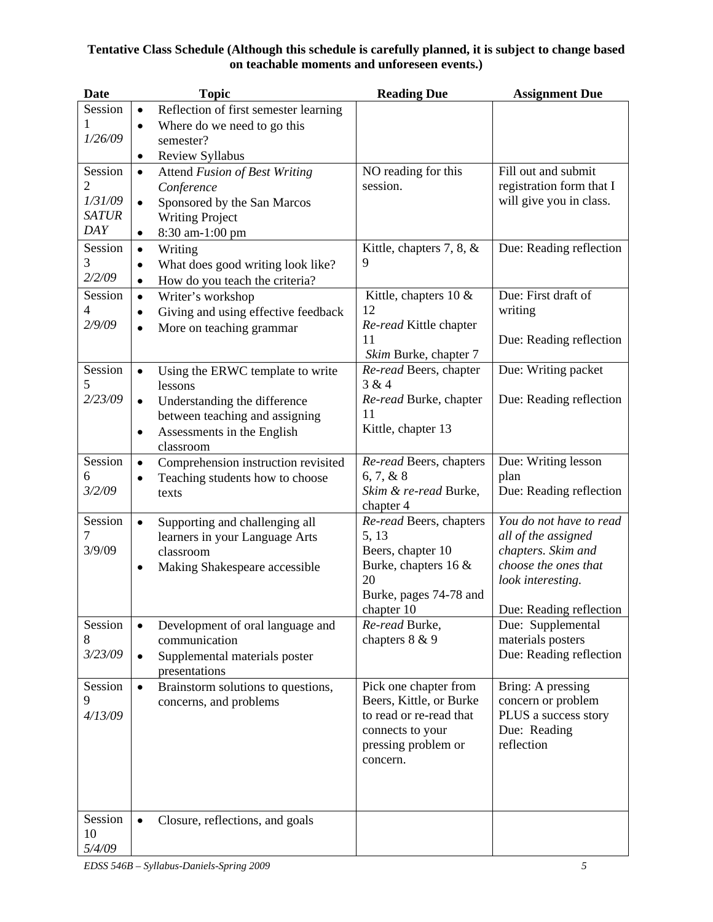# **Tentative Class Schedule (Although this schedule is carefully planned, it is subject to change based on teachable moments and unforeseen events.)**

| <b>Date</b>  | <b>Topic</b>                                       | <b>Reading Due</b>                 | <b>Assignment Due</b>      |
|--------------|----------------------------------------------------|------------------------------------|----------------------------|
| Session      | Reflection of first semester learning<br>$\bullet$ |                                    |                            |
|              | Where do we need to go this<br>$\bullet$           |                                    |                            |
| 1/26/09      | semester?                                          |                                    |                            |
|              | Review Syllabus<br>٠                               |                                    |                            |
| Session      | Attend Fusion of Best Writing<br>$\bullet$         | NO reading for this                | Fill out and submit        |
| 2            | Conference                                         | session.                           | registration form that I   |
| 1/31/09      | Sponsored by the San Marcos<br>$\bullet$           |                                    | will give you in class.    |
| <b>SATUR</b> | <b>Writing Project</b>                             |                                    |                            |
| <b>DAY</b>   | 8:30 am-1:00 pm<br>$\bullet$                       |                                    |                            |
| Session      | Writing<br>$\bullet$                               | Kittle, chapters 7, 8, &           | Due: Reading reflection    |
| 3            | What does good writing look like?<br>$\bullet$     | 9                                  |                            |
| 2/2/09       | How do you teach the criteria?<br>$\bullet$        |                                    |                            |
| Session      | Writer's workshop<br>$\bullet$                     | Kittle, chapters $10 \&$           | Due: First draft of        |
| 4            | Giving and using effective feedback<br>$\bullet$   | 12                                 | writing                    |
| 2/9/09       | More on teaching grammar<br>$\bullet$              | Re-read Kittle chapter             |                            |
|              |                                                    | 11                                 | Due: Reading reflection    |
|              |                                                    | Skim Burke, chapter 7              |                            |
| Session      | Using the ERWC template to write<br>$\bullet$      | Re-read Beers, chapter             | Due: Writing packet        |
| 5            | lessons                                            | 3 & 4                              |                            |
| 2/23/09      | Understanding the difference<br>$\bullet$          | Re-read Burke, chapter             | Due: Reading reflection    |
|              | between teaching and assigning                     | 11                                 |                            |
|              | Assessments in the English<br>$\bullet$            | Kittle, chapter 13                 |                            |
|              | classroom                                          |                                    |                            |
| Session      | Comprehension instruction revisited<br>$\bullet$   | Re-read Beers, chapters            | Due: Writing lesson        |
| 6            | Teaching students how to choose<br>$\bullet$       | $6, 7, \& 8$                       | plan                       |
| 3/2/09       | texts                                              | Skim & re-read Burke,<br>chapter 4 | Due: Reading reflection    |
| Session      | Supporting and challenging all<br>$\bullet$        | Re-read Beers, chapters            | You do not have to read    |
| 7            | learners in your Language Arts                     | 5, 13                              | all of the assigned        |
| 3/9/09       | classroom                                          | Beers, chapter 10                  | chapters. Skim and         |
|              | Making Shakespeare accessible<br>$\bullet$         | Burke, chapters 16 &               | choose the ones that       |
|              |                                                    | 20                                 | look interesting.          |
|              |                                                    | Burke, pages 74-78 and             |                            |
|              |                                                    | chapter 10                         | Due: Reading reflection    |
| Session      | Development of oral language and<br>$\bullet$      | Re-read Burke,                     | Due: Supplemental          |
| 8            | communication                                      | chapters 8 & 9                     | materials posters          |
| 3/23/09      | Supplemental materials poster<br>$\bullet$         |                                    | Due: Reading reflection    |
|              | presentations                                      |                                    |                            |
| Session      | Brainstorm solutions to questions,<br>$\bullet$    | Pick one chapter from              | Bring: A pressing          |
| 9            | concerns, and problems                             | Beers, Kittle, or Burke            | concern or problem         |
| 4/13/09      |                                                    | to read or re-read that            | PLUS a success story       |
|              |                                                    | connects to your                   | Due: Reading<br>reflection |
|              |                                                    | pressing problem or                |                            |
|              |                                                    | concern.                           |                            |
|              |                                                    |                                    |                            |
|              |                                                    |                                    |                            |
| Session      | Closure, reflections, and goals<br>$\bullet$       |                                    |                            |
| 10           |                                                    |                                    |                            |
| 5/4/09       |                                                    |                                    |                            |